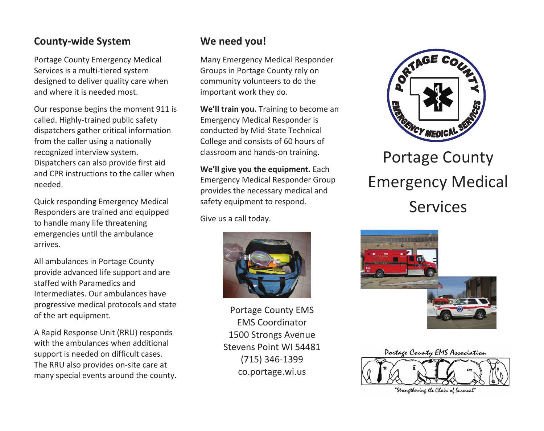#### **County-wide System**

Portage County Emergency Medical Services is a multi-tiered system designed to deliver quality care when and where it is needed most.

Our response begins the moment 911 is called. Highly-trained public safety dispatchers gather critical information from the caller using a nationally recognized interview system. Dispatchers can also provide first aid and CPR instructions to the caller when needed.

Quick responding Emergency Medical Responders are trained and equipped to handle many life threatening emergencies until the ambulance arrives.

All ambulances in Portage County provide advanced life support and are staffed with Paramedics and Intermediates. Our ambulances have progressive medical protocols and state of the art equipment.

A Rapid Response Unit (RRU) responds with the ambulances when additional support is needed on difficult cases. The RRU also provides on-site care at many special events around the county.

#### **We need you!**

Many Emergency Medical Responder Groups in Portage County rely on community volunteers to do the important work they do.

**We'll train you.** Training to become an Emergency Medical Responder is conducted by Mid-State Technical College and consists of 60 hours of classroom and hands-on training.

**We'll give you the equipment.** Each Emergency Medical Responder Group provides the necessary medical and safety equipment to respond.

Give us a call today.



Portage County EMS EMS Coordinator 1500 Strongs Avenue Stevens Point WI 54481 (715) 346-1399 co.portage.wi.us



# Emergency Medical Services





"Strengthening the Chain of Survival"